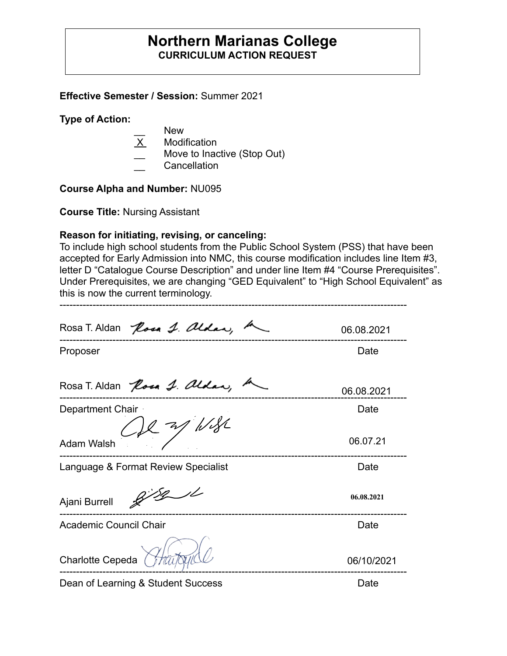### **Northern Marianas College CURRICULUM ACTION REQUEST**

**Effective Semester / Session:** Summer 2021

**Type of Action:**

- New
- X Modification
- Move to Inactive (Stop Out)
- **Cancellation**

**Course Alpha and Number:** NU095

**Course Title:** Nursing Assistant

### **Reason for initiating, revising, or canceling:**

To include high school students from the Public School System (PSS) that have been accepted for Early Admission into NMC, this course modification includes line Item #3, letter D "Catalogue Course Description" and under line Item #4 "Course Prerequisites". Under Prerequisites, we are changing "GED Equivalent" to "High School Equivalent" as this is now the current terminology.

---------------------------------------------------------------------------------------------------------

| Rosa T. Aldan Rosa J. aldar,        | 06.08.2021 |
|-------------------------------------|------------|
| Proposer                            | Date       |
| Rosa T. Aldan Rosa J. aldan,        | 06.08.2021 |
| Department Chair                    | Date       |
| $1127$ /1/18/<br><b>Adam Walsh</b>  | 06.07.21   |
| Language & Format Review Specialist | Date       |
| Ajani Burrell                       | 06.08.2021 |
| <b>Academic Council Chair</b>       | Date       |
| Charlotte Cepeda                    | 06/10/2021 |

Dean of Learning & Student Success Date Date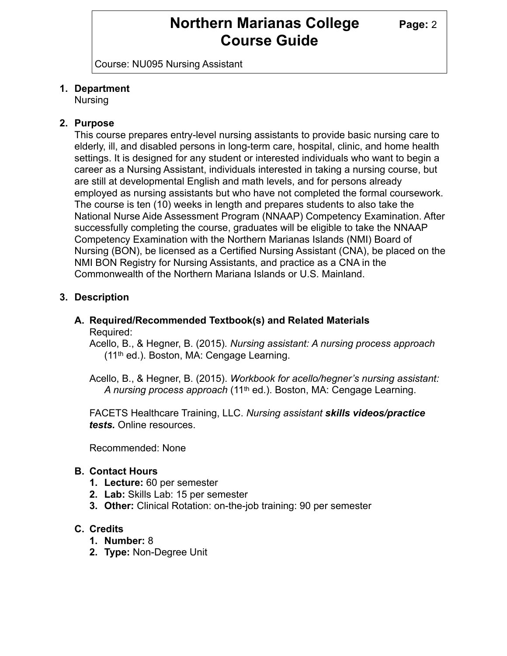## **Northern Marianas College Page: 2 Course Guide**

Course: NU095 Nursing Assistant

#### **1. Department**

Nursing

#### **2. Purpose**

This course prepares entry-level nursing assistants to provide basic nursing care to elderly, ill, and disabled persons in long-term care, hospital, clinic, and home health settings. It is designed for any student or interested individuals who want to begin a career as a Nursing Assistant, individuals interested in taking a nursing course, but are still at developmental English and math levels, and for persons already employed as nursing assistants but who have not completed the formal coursework. The course is ten (10) weeks in length and prepares students to also take the National Nurse Aide Assessment Program (NNAAP) Competency Examination. After successfully completing the course, graduates will be eligible to take the NNAAP Competency Examination with the Northern Marianas Islands (NMI) Board of Nursing (BON), be licensed as a Certified Nursing Assistant (CNA), be placed on the NMI BON Registry for Nursing Assistants, and practice as a CNA in the Commonwealth of the Northern Mariana Islands or U.S. Mainland.

#### **3. Description**

#### **A. Required/Recommended Textbook(s) and Related Materials** Required:

Acello, B., & Hegner, B. (2015)*. Nursing assistant: A nursing process approach* (11th ed.). Boston, MA: Cengage Learning.

Acello, B., & Hegner, B. (2015). *Workbook for acello/hegner's nursing assistant: A nursing process approach* (11th ed.). Boston, MA: Cengage Learning.

FACETS Healthcare Training, LLC. *Nursing assistant skills videos/practice tests.* Online resources.

Recommended: None

#### **B. Contact Hours**

- **1. Lecture:** 60 per semester
- **2. Lab:** Skills Lab: 15 per semester
- **3. Other:** Clinical Rotation: on-the-job training: 90 per semester

#### **C. Credits**

- **1. Number:** 8
- **2. Type:** Non-Degree Unit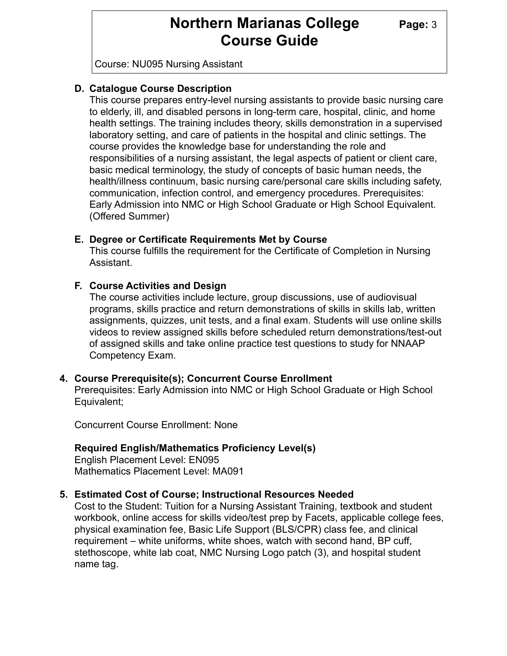## **Northern Marianas College** Page: 3 **Course Guide**

Course: NU095 Nursing Assistant

### **D. Catalogue Course Description**

This course prepares entry-level nursing assistants to provide basic nursing care to elderly, ill, and disabled persons in long-term care, hospital, clinic, and home health settings. The training includes theory, skills demonstration in a supervised laboratory setting, and care of patients in the hospital and clinic settings. The course provides the knowledge base for understanding the role and responsibilities of a nursing assistant, the legal aspects of patient or client care, basic medical terminology, the study of concepts of basic human needs, the health/illness continuum, basic nursing care/personal care skills including safety, communication, infection control, and emergency procedures. Prerequisites: Early Admission into NMC or High School Graduate or High School Equivalent. (Offered Summer)

#### **E. Degree or Certificate Requirements Met by Course**

This course fulfills the requirement for the Certificate of Completion in Nursing Assistant.

#### **F. Course Activities and Design**

The course activities include lecture, group discussions, use of audiovisual programs, skills practice and return demonstrations of skills in skills lab, written assignments, quizzes, unit tests, and a final exam. Students will use online skills videos to review assigned skills before scheduled return demonstrations/test-out of assigned skills and take online practice test questions to study for NNAAP Competency Exam.

#### **4. Course Prerequisite(s); Concurrent Course Enrollment**

Prerequisites: Early Admission into NMC or High School Graduate or High School Equivalent;

Concurrent Course Enrollment: None

#### **Required English/Mathematics Proficiency Level(s)**

English Placement Level: EN095 Mathematics Placement Level: MA091

#### **5. Estimated Cost of Course; Instructional Resources Needed**

Cost to the Student: Tuition for a Nursing Assistant Training, textbook and student workbook, online access for skills video/test prep by Facets, applicable college fees, physical examination fee, Basic Life Support (BLS/CPR) class fee, and clinical requirement – white uniforms, white shoes, watch with second hand, BP cuff, stethoscope, white lab coat, NMC Nursing Logo patch (3), and hospital student name tag.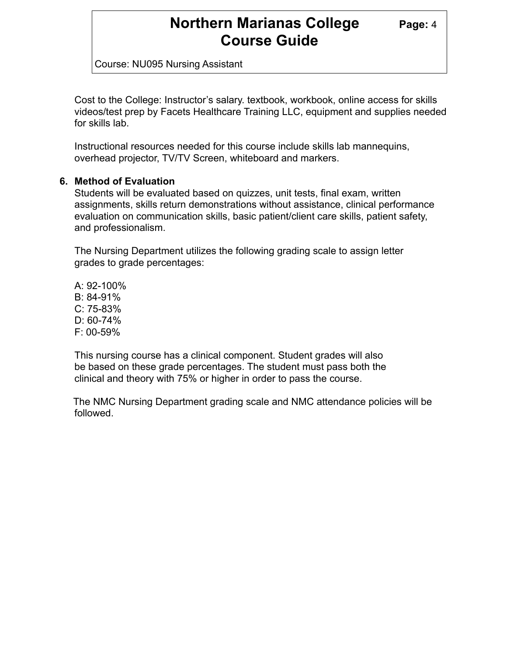### **Northern Marianas College Page: 4 Course Guide**

Course: NU095 Nursing Assistant

Cost to the College: Instructor's salary. textbook, workbook, online access for skills videos/test prep by Facets Healthcare Training LLC, equipment and supplies needed for skills lab.

Instructional resources needed for this course include skills lab mannequins, overhead projector, TV/TV Screen, whiteboard and markers.

#### **6. Method of Evaluation**

Students will be evaluated based on quizzes, unit tests, final exam, written assignments, skills return demonstrations without assistance, clinical performance evaluation on communication skills, basic patient/client care skills, patient safety, and professionalism.

The Nursing Department utilizes the following grading scale to assign letter grades to grade percentages:

A: 92-100% B: 84-91% C: 75-83% D: 60-74% F: 00-59%

This nursing course has a clinical component. Student grades will also be based on these grade percentages. The student must pass both the clinical and theory with 75% or higher in order to pass the course.

 The NMC Nursing Department grading scale and NMC attendance policies will be followed.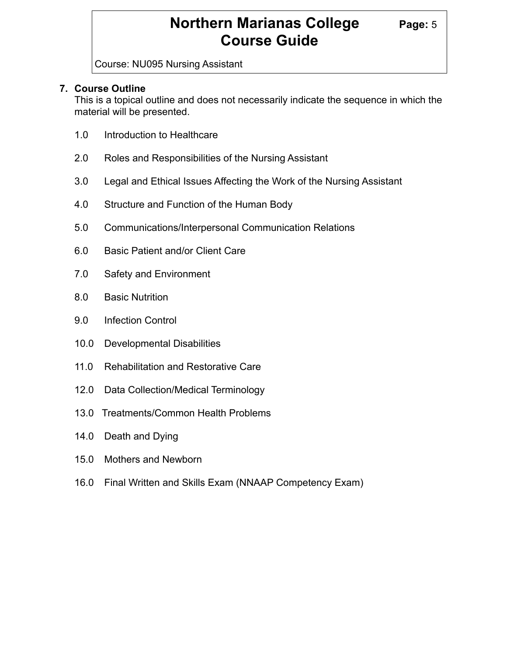# **Northern Marianas College Page: 5 Course Guide**

Course: NU095 Nursing Assistant

### **7. Course Outline**

This is a topical outline and does not necessarily indicate the sequence in which the material will be presented.

- 1.0 Introduction to Healthcare
- 2.0 Roles and Responsibilities of the Nursing Assistant
- 3.0 Legal and Ethical Issues Affecting the Work of the Nursing Assistant
- 4.0 Structure and Function of the Human Body
- 5.0 Communications/Interpersonal Communication Relations
- 6.0 Basic Patient and/or Client Care
- 7.0 Safety and Environment
- 8.0 Basic Nutrition
- 9.0 Infection Control
- 10.0 Developmental Disabilities
- 11.0 Rehabilitation and Restorative Care
- 12.0 Data Collection/Medical Terminology
- 13.0 Treatments/Common Health Problems
- 14.0 Death and Dying
- 15.0 Mothers and Newborn
- 16.0 Final Written and Skills Exam (NNAAP Competency Exam)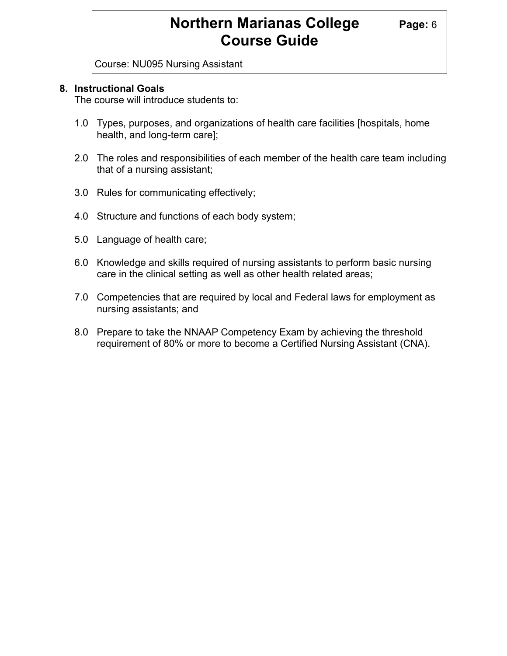# **Northern Marianas College Page: 6 Course Guide**

Course: NU095 Nursing Assistant

#### **8. Instructional Goals**

The course will introduce students to:

- 1.0 Types, purposes, and organizations of health care facilities [hospitals, home health, and long-term care];
- 2.0 The roles and responsibilities of each member of the health care team including that of a nursing assistant;
- 3.0 Rules for communicating effectively;
- 4.0 Structure and functions of each body system;
- 5.0 Language of health care;
- 6.0 Knowledge and skills required of nursing assistants to perform basic nursing care in the clinical setting as well as other health related areas;
- 7.0 Competencies that are required by local and Federal laws for employment as nursing assistants; and
- 8.0 Prepare to take the NNAAP Competency Exam by achieving the threshold requirement of 80% or more to become a Certified Nursing Assistant (CNA).